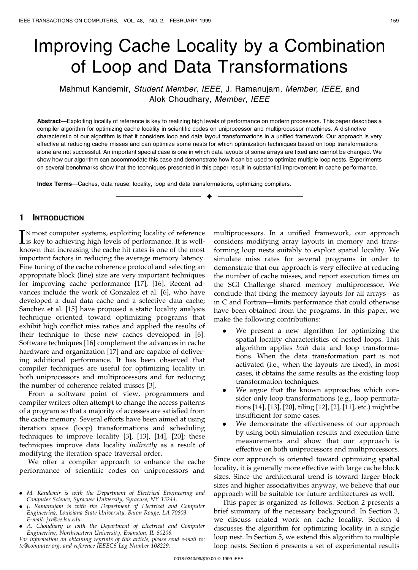# Improving Cache Locality by a Combination of Loop and Data Transformations

Mahmut Kandemir, Student Member, IEEE, J. Ramanujam, Member, IEEE, and Alok Choudhary, Member, IEEE

Abstract—Exploiting locality of reference is key to realizing high levels of performance on modern processors. This paper describes a compiler algorithm for optimizing cache locality in scientific codes on uniprocessor and multiprocessor machines. A distinctive characteristic of our algorithm is that it considers loop and data layout transformations in a unified framework. Our approach is very effective at reducing cache misses and can optimize some nests for which optimization techniques based on loop transformations alone are not successful. An important special case is one in which data layouts of some arrays are fixed and cannot be changed. We show how our algorithm can accommodate this case and demonstrate how it can be used to optimize multiple loop nests. Experiments on several benchmarks show that the techniques presented in this paper result in substantial improvement in cache performance.

 $\blacklozenge$ 

Index Terms—Caches, data reuse, locality, loop and data transformations, optimizing compilers.

# 1 INTRODUCTION

IN most computer systems, exploiting locality of reference<br>is key to achieving high levels of performance. It is wellis key to achieving high levels of performance. It is wellknown that increasing the cache hit rates is one of the most important factors in reducing the average memory latency. Fine tuning of the cache coherence protocol and selecting an appropriate block (line) size are very important techniques for improving cache performance [17], [16]. Recent advances include the work of Gonzalez et al. [6], who have developed a dual data cache and a selective data cache; Sanchez et al. [15] have proposed a static locality analysis technique oriented toward optimizing programs that exhibit high conflict miss ratios and applied the results of their technique to these new caches developed in [6]. Software techniques [16] complement the advances in cache hardware and organization [17] and are capable of delivering additional performance. It has been observed that compiler techniques are useful for optimizing locality in both uniprocessors and multiprocessors and for reducing the number of coherence related misses [3].

From a software point of view, programmers and compiler writers often attempt to change the access patterns of a program so that a majority of accesses are satisfied from the cache memory. Several efforts have been aimed at using iteration space (loop) transformations and scheduling techniques to improve locality [3], [13], [14], [20]; these techniques improve data locality indirectly as a result of modifying the iteration space traversal order.

We offer a compiler approach to enhance the cache performance of scientific codes on uniprocessors and

- . M. Kandemir is with the Department of Electrical Engineering and Computer Science, Syracuse University, Syracuse, NY 13244.
- . J. Ramanujam is with the Department of Electrical and Computer Engineering, Louisiana State University, Baton Rouge, LA 70803. E-mail: jxr@ee.lsu.edu.
- . A. Choudhary is with the Department of Electrical and Computer Engineering, Northwestern University, Evanston, IL 60208.
- For information on obtaining reprints of this article, please send e-mail to: tc@computer.org, and reference IEEECS Log Number 108229.

multiprocessors. In a unified framework, our approach considers modifying array layouts in memory and transforming loop nests suitably to exploit spatial locality. We simulate miss rates for several programs in order to demonstrate that our approach is very effective at reducing the number of cache misses, and report execution times on the SGI Challenge shared memory multiprocessor. We conclude that fixing the memory layouts for all arrays—as in C and Fortran-limits performance that could otherwise have been obtained from the programs. In this paper, we make the following contributions:

- . We present a new algorithm for optimizing the spatial locality characteristics of nested loops. This algorithm applies both data and loop transformations. When the data transformation part is not activated (i.e., when the layouts are fixed), in most cases, it obtains the same results as the existing loop transformation techniques.
- . We argue that the known approaches which consider only loop transformations (e.g., loop permutations [14], [13], [20], tiling [12], [2], [11], etc.) might be insufficient for some cases.
- We demonstrate the effectiveness of our approach by using both simulation results and execution time measurements and show that our approach is effective on both uniprocessors and multiprocessors.

Since our approach is oriented toward optimizing spatial locality, it is generally more effective with large cache block sizes. Since the architectural trend is toward larger block sizes and higher associativities anyway, we believe that our approach will be suitable for future architectures as well.

This paper is organized as follows. Section 2 presents a brief summary of the necessary background. In Section 3, we discuss related work on cache locality. Section 4 discusses the algorithm for optimizing locality in a single loop nest. In Section 5, we extend this algorithm to multiple loop nests. Section 6 presents a set of experimental results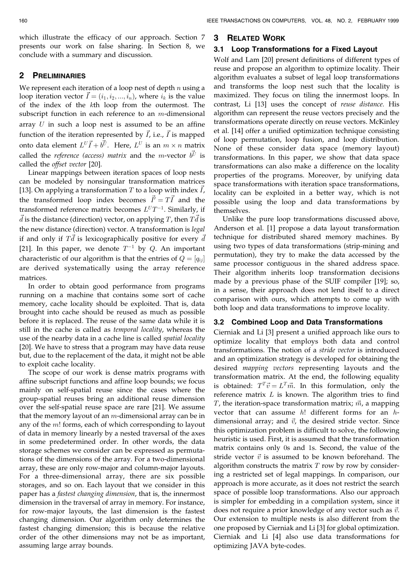which illustrate the efficacy of our approach. Section 7 presents our work on false sharing. In Section 8, we conclude with a summary and discussion.

## 2 PRELIMINARIES

We represent each iteration of a loop nest of depth  $n$  using a loop iteration vector  $\vec{I} = (i_1, i_2, ..., i_n)$ , where  $i_k$  is the value of the index of the kth loop from the outermost. The subscript function in each reference to an *m*-dimensional array  $U$  in such a loop nest is assumed to be an affine function of the iteration represented by  $\vec{I}$ , i.e.,  $\vec{I}$  is mapped onto data element  $L^U \vec{I} + b^{\vec{U}}$ . Here,  $L^U$  is an  $m \times n$  matrix called the *reference* (access) matrix and the *m*-vector  $\vec{b}^{\vec{U}}$  is called the offset vector [20].

Linear mappings between iteration spaces of loop nests can be modeled by nonsingular transformation matrices [13]. On applying a transformation  $T$  to a loop with index  $\vec{I}$ , the transformed loop index becomes  $\vec{I}' = T\vec{I}$  and the transformed reference matrix becomes  $L^{\mathrm{U}}T^{-1}$ . Similarly, if  $\vec{d}$  is the distance (direction) vector, on applying T, then  $T\vec{d}$  is the new distance (direction) vector. A transformation is legal if and only if  $T\vec{d}$  is lexicographically positive for every  $\vec{d}$ [21]. In this paper, we denote  $T^{-1}$  by Q. An important characteristic of our algorithm is that the entries of  $Q = [q_{ij}]$ are derived systematically using the array reference matrices.

In order to obtain good performance from programs running on a machine that contains some sort of cache memory, cache locality should be exploited. That is, data brought into cache should be reused as much as possible before it is replaced. The reuse of the same data while it is still in the cache is called as temporal locality, whereas the use of the nearby data in a cache line is called spatial locality [20]. We have to stress that a program may have data reuse but, due to the replacement of the data, it might not be able to exploit cache locality.

The scope of our work is dense matrix programs with affine subscript functions and affine loop bounds; we focus mainly on self-spatial reuse since the cases where the group-spatial reuses bring an additional reuse dimension over the self-spatial reuse space are rare [21]. We assume that the memory layout of an  $m$ -dimensional array can be in any of the m! forms, each of which corresponding to layout of data in memory linearly by a nested traversal of the axes in some predetermined order. In other words, the data storage schemes we consider can be expressed as permutations of the dimensions of the array. For a two-dimensional array, these are only row-major and column-major layouts. For a three-dimensional array, there are six possible storages, and so on. Each layout that we consider in this paper has a fastest changing dimension, that is, the innermost dimension in the traversal of array in memory. For instance, for row-major layouts, the last dimension is the fastest changing dimension. Our algorithm only determines the fastest changing dimension; this is because the relative order of the other dimensions may not be as important, assuming large array bounds.

## 3 RELATED WORK

#### 3.1 Loop Transformations for a Fixed Layout

Wolf and Lam [20] present definitions of different types of reuse and propose an algorithm to optimize locality. Their algorithm evaluates a subset of legal loop transformations and transforms the loop nest such that the locality is maximized. They focus on tiling the innermost loops. In contrast, Li [13] uses the concept of reuse distance. His algorithm can represent the reuse vectors precisely and the transformations operate directly on reuse vectors. McKinley et al. [14] offer a unified optimization technique consisting of loop permutation, loop fusion, and loop distribution. None of these consider data space (memory layout) transformations. In this paper, we show that data space transformations can also make a difference on the locality properties of the programs. Moreover, by unifying data space transformations with iteration space transformations, locality can be exploited in a better way, which is not possible using the loop and data transformations by themselves.

Unlike the pure loop transformations discussed above, Anderson et al. [1] propose a data layout transformation technique for distributed shared memory machines. By using two types of data transformations (strip-mining and permutation), they try to make the data accessed by the same processor contiguous in the shared address space. Their algorithm inherits loop transformation decisions made by a previous phase of the SUIF compiler [19]; so, in a sense, their approach does not lend itself to a direct comparison with ours, which attempts to come up with both loop and data transformations to improve locality.

#### 3.2 Combined Loop and Data Transformations

Cierniak and Li [3] present a unified approach like ours to optimize locality that employs both data and control transformations. The notion of a stride vector is introduced and an optimization strategy is developed for obtaining the desired mapping vectors representing layouts and the transformation matrix. At the end, the following equality is obtained:  $T^T \vec{v} = L^T \vec{m}$ . In this formulation, only the reference matrix  $L$  is known. The algorithm tries to find T, the iteration-space transformation matrix;  $\vec{m}$ , a mapping vector that can assume  $h!$  different forms for an  $h$ dimensional array; and  $\vec{v}$ , the desired stride vector. Since this optimization problem is difficult to solve, the following heuristic is used. First, it is assumed that the transformation matrix contains only 0s and 1s. Second, the value of the stride vector  $\vec{v}$  is assumed to be known beforehand. The algorithm constructs the matrix  $T$  row by row by considering a restricted set of legal mappings. In comparison, our approach is more accurate, as it does not restrict the search space of possible loop transformations. Also our approach is simpler for embedding in a compilation system, since it does not require a prior knowledge of any vector such as  $\vec{v}$ . Our extension to multiple nests is also different from the one proposed by Cierniak and Li [3] for global optimization. Cierniak and Li [4] also use data transformations for optimizing JAVA byte-codes.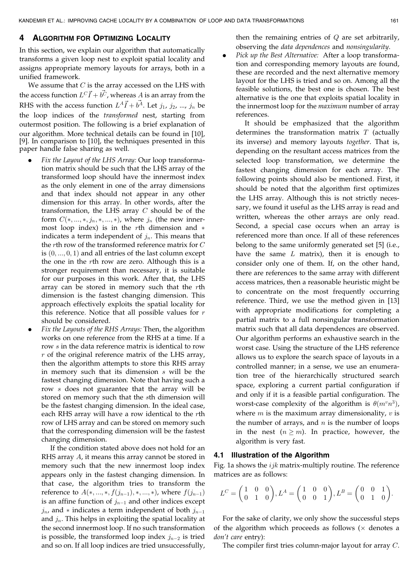#### 4 ALGORITHM FOR OPTIMIZING LOCALITY

In this section, we explain our algorithm that automatically transforms a given loop nest to exploit spatial locality and assigns appropriate memory layouts for arrays, both in a unified framework.

We assume that  $C$  is the array accessed on the LHS with the access function  $L^C \vec{I} + b^{\vec{C}}$ , whereas A is an array from the RHS with the access function  $L^A \vec{I} + \vec{b^A}$ . Let  $j_1$ ,  $j_2$ , ...,  $j_n$  be the loop indices of the transformed nest, starting from outermost position. The following is a brief explanation of our algorithm. More technical details can be found in [10], [9]. In comparison to [10], the techniques presented in this paper handle false sharing as well.

- . Fix the Layout of the LHS Array: Our loop transformation matrix should be such that the LHS array of the transformed loop should have the innermost index as the only element in one of the array dimensions and that index should not appear in any other dimension for this array. In other words, after the transformation, the LHS array  $C$  should be of the form  $C(*, ..., *, j_n, *, ..., *)$ , where  $j_n$  (the new innermost loop index) is in the rth dimension and  $*$ indicates a term independent of  $j_n$ . This means that the  $r\mathrm{th}$  row of the transformed reference matrix for  $C$ is  $(0, ..., 0, 1)$  and all entries of the last column except the one in the rth row are zero. Although this is a stronger requirement than necessary, it is suitable for our purposes in this work. After that, the LHS array can be stored in memory such that the  $r$ th dimension is the fastest changing dimension. This approach effectively exploits the spatial locality for this reference. Notice that all possible values for  $r$ should be considered.
- . Fix the Layouts of the RHS Arrays: Then, the algorithm works on one reference from the RHS at a time. If a row s in the data reference matrix is identical to row  $r$  of the original reference matrix of the LHS array, then the algorithm attempts to store this RHS array in memory such that its dimension s will be the fastest changing dimension. Note that having such a row s does not guarantee that the array will be stored on memory such that the sth dimension will be the fastest changing dimension. In the ideal case, each RHS array will have a row identical to the rth row of LHS array and can be stored on memory such that the corresponding dimension will be the fastest changing dimension.

If the condition stated above does not hold for an RHS array A, it means this array cannot be stored in memory such that the new innermost loop index appears only in the fastest changing dimension. In that case, the algorithm tries to transform the reference to  $A(*, ..., *, f(j_{n-1}), *, ..., *)$ , where  $f(j_{n-1})$ is an affine function of  $j_{n-1}$  and other indices except  $j_n$ , and  $*$  indicates a term independent of both  $j_{n-1}$ and  $j_n$ . This helps in exploiting the spatial locality at the second innermost loop. If no such transformation is possible, the transformed loop index  $j_{n-2}$  is tried and so on. If all loop indices are tried unsuccessfully,

then the remaining entries of  $Q$  are set arbitrarily, observing the data dependences and nonsingularity.

Pick up the Best Alternative: After a loop transformation and corresponding memory layouts are found, these are recorded and the next alternative memory layout for the LHS is tried and so on. Among all the feasible solutions, the best one is chosen. The best alternative is the one that exploits spatial locality in the innermost loop for the *maximum* number of array references.

It should be emphasized that the algorithm determines the transformation matrix  $T$  (actually its inverse) and memory layouts together. That is, depending on the resultant access matrices from the selected loop transformation, we determine the fastest changing dimension for each array. The following points should also be mentioned. First, it should be noted that the algorithm first optimizes the LHS array. Although this is not strictly necessary, we found it useful as the LHS array is read and written, whereas the other arrays are only read. Second, a special case occurs when an array is referenced more than once. If all of these references belong to the same uniformly generated set [5] (i.e., have the same  $L$  matrix), then it is enough to consider only one of them. If, on the other hand, there are references to the same array with different access matrices, then a reasonable heuristic might be to concentrate on the most frequently occurring reference. Third, we use the method given in [13] with appropriate modifications for completing a partial matrix to a full nonsingular transformation matrix such that all data dependences are observed. Our algorithm performs an exhaustive search in the worst case. Using the structure of the LHS reference allows us to explore the search space of layouts in a controlled manner; in a sense, we use an enumeration tree of the hierarchically structured search space, exploring a current partial configuration if and only if it is a feasible partial configuration. The worst-case complexity of the algorithm is  $\theta(m^v n^3)$ , where  $m$  is the maximum array dimensionality,  $v$  is the number of arrays, and  $n$  is the number of loops in the nest  $(n \geq m)$ . In practice, however, the algorithm is very fast.

#### 4.1 Illustration of the Algorithm

Fig. 1a shows the  $ijk$  matrix-multiply routine. The reference matrices are as follows:

$$
L^C = \begin{pmatrix} 1 & 0 & 0 \\ 0 & 1 & 0 \end{pmatrix}, L^A = \begin{pmatrix} 1 & 0 & 0 \\ 0 & 0 & 1 \end{pmatrix}, L^B = \begin{pmatrix} 0 & 0 & 1 \\ 0 & 1 & 0 \end{pmatrix}.
$$

For the sake of clarity, we only show the successful steps of the algorithm which proceeds as follows ( $\times$  denotes a don't care entry):

The compiler first tries column-major layout for array C.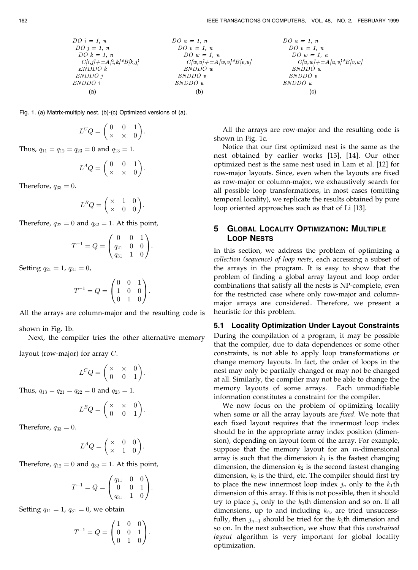| $DO \ i = 1, n$              | $DO \ u = 1, n$          | $DO \ u = 1, n$          | $DO \ v = 1, n$ | $DO \ v = 1, n$ | $DO \ v = 1, n$ |
|------------------------------|--------------------------|--------------------------|-----------------|-----------------|-----------------|
| $DO \ k = 1, n$              | $DO \ v = 1, n$          | $DO \ v = 1, n$          |                 |                 |                 |
| $CO \ v = 1, n$              | $DO \ v = 1, n$          | $DO \ v = 1, n$          |                 |                 |                 |
| $CP \ (i,j) + A[i,k]*B[k,j]$ | $C[w,u] + A[w,v]*B[v,u]$ | $C[u,w] + A[u,v]*B[v,w]$ |                 |                 |                 |
| $ENDDO \ k$                  | $ENDDO \ w$              | $ENDDO \ w$              |                 |                 |                 |
| $ENDDO \ i$                  | $ENDDO \ v$              | $ENDDO \ v$              |                 |                 |                 |
| $ENDDO \ i$                  | $ENDDO \ u$              | $ENDDO \ v$              |                 |                 |                 |
| $ENDDO \ i$                  | $ENDDO \ u$              | $ENDDO \ v$              |                 |                 |                 |
| $ENDDO \ i$                  | $ENDDO \ u$              | $ENDDO \ u$              |                 |                 |                 |
| $AND \ v$                    | $ENDDO \ v$              | $ENDDO \ v$              |                 |                 |                 |

Fig. 1. (a) Matrix-multiply nest. (b)-(c) Optimized versions of (a).

$$
L^C Q = \begin{pmatrix} 0 & 0 & 1 \\ \times & \times & 0 \end{pmatrix}.
$$

Thus,  $q_{11} = q_{12} = q_{23} = 0$  and  $q_{13} = 1$ .

$$
L^A Q = \begin{pmatrix} 0 & 0 & 1 \\ \times & \times & 0 \end{pmatrix}.
$$

Therefore,  $q_{33} = 0$ .

$$
L^B Q = \begin{pmatrix} \times & 1 & 0 \\ \times & 0 & 0 \end{pmatrix}.
$$

Therefore,  $q_{22} = 0$  and  $q_{32} = 1$ . At this point,

$$
T^{-1} = Q = \begin{pmatrix} 0 & 0 & 1 \\ q_{21} & 0 & 0 \\ q_{31} & 1 & 0 \end{pmatrix}.
$$

Setting  $q_{21} = 1$ ,  $q_{31} = 0$ ,

$$
T^{-1} = Q = \begin{pmatrix} 0 & 0 & 1 \\ 1 & 0 & 0 \\ 0 & 1 & 0 \end{pmatrix}.
$$

All the arrays are column-major and the resulting code is

shown in Fig. 1b.

Next, the compiler tries the other alternative memory

layout (row-major) for array C.

$$
L^C Q = \begin{pmatrix} \times & \times & 0 \\ 0 & 0 & 1 \end{pmatrix}.
$$

Thus,  $q_{13} = q_{21} = q_{22} = 0$  and  $q_{23} = 1$ .

$$
L^B Q = \begin{pmatrix} \times & \times & 0 \\ 0 & 0 & 1 \end{pmatrix}.
$$

Therefore,  $q_{33} = 0$ .

$$
L^A Q = \begin{pmatrix} \times & 0 & 0 \\ \times & 1 & 0 \end{pmatrix}.
$$

Therefore,  $q_{12} = 0$  and  $q_{32} = 1$ . At this point,

$$
T^{-1} = Q = \begin{pmatrix} q_{11} & 0 & 0 \\ 0 & 0 & 1 \\ q_{31} & 1 & 0 \end{pmatrix}.
$$

Setting  $q_{11} = 1$ ,  $q_{31} = 0$ , we obtain

$$
T^{-1} = Q = \begin{pmatrix} 1 & 0 & 0 \\ 0 & 0 & 1 \\ 0 & 1 & 0 \end{pmatrix}.
$$

All the arrays are row-major and the resulting code is shown in Fig. 1c.

Notice that our first optimized nest is the same as the nest obtained by earlier works [13], [14]. Our other optimized nest is the same nest used in Lam et al. [12] for row-major layouts. Since, even when the layouts are fixed as row-major or column-major, we exhaustively search for all possible loop transformations, in most cases (omitting temporal locality), we replicate the results obtained by pure loop oriented approaches such as that of Li [13].

# 5 GLOBAL LOCALITY OPTIMIZATION: MULTIPLE LOOP NESTS

In this section, we address the problem of optimizing a collection (sequence) of loop nests, each accessing a subset of the arrays in the program. It is easy to show that the problem of finding a global array layout and loop order combinations that satisfy all the nests is NP-complete, even for the restricted case where only row-major and columnmajor arrays are considered. Therefore, we present a heuristic for this problem.

#### 5.1 Locality Optimization Under Layout Constraints

During the compilation of a program, it may be possible that the compiler, due to data dependences or some other constraints, is not able to apply loop transformations or change memory layouts. In fact, the order of loops in the nest may only be partially changed or may not be changed at all. Similarly, the compiler may not be able to change the memory layouts of some arrays. Each unmodifiable information constitutes a constraint for the compiler.

We now focus on the problem of optimizing locality when some or all the array layouts are fixed. We note that each fixed layout requires that the innermost loop index should be in the appropriate array index position (dimension), depending on layout form of the array. For example, suppose that the memory layout for an  $m$ -dimensional array is such that the dimension  $k_1$  is the fastest changing dimension, the dimension  $k_2$  is the second fastest changing dimension,  $k_3$  is the third, etc. The compiler should first try to place the new innermost loop index  $j_n$  only to the  $k_1$ th dimension of this array. If this is not possible, then it should try to place  $j_n$  only to the  $k_2$ th dimension and so on. If all dimensions, up to and including  $k_h$ , are tried unsuccessfully, then  $j_{n-1}$  should be tried for the  $k_1$ th dimension and so on. In the next subsection, we show that this constrained layout algorithm is very important for global locality optimization.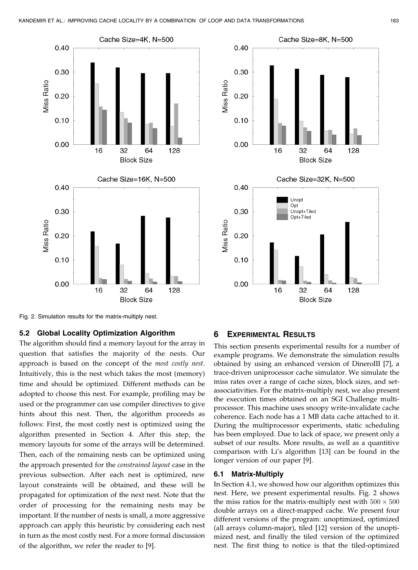

Fig. 2. Simulation results for the matrix-multiply nest.

#### 5.2 Global Locality Optimization Algorithm

The algorithm should find a memory layout for the array in question that satisfies the majority of the nests. Our approach is based on the concept of the most costly nest. Intuitively, this is the nest which takes the most (memory) time and should be optimized. Different methods can be adopted to choose this nest. For example, profiling may be used or the programmer can use compiler directives to give hints about this nest. Then, the algorithm proceeds as follows: First, the most costly nest is optimized using the algorithm presented in Section 4. After this step, the memory layouts for some of the arrays will be determined. Then, each of the remaining nests can be optimized using the approach presented for the constrained layout case in the previous subsection. After each nest is optimized, new layout constraints will be obtained, and these will be propagated for optimization of the next nest. Note that the order of processing for the remaining nests may be important. If the number of nests is small, a more aggressive approach can apply this heuristic by considering each nest in turn as the most costly nest. For a more formal discussion of the algorithm, we refer the reader to [9].



Cache Size=8K, N=500

 $0.40$ 

#### 6 EXPERIMENTAL RESULTS

This section presents experimental results for a number of example programs. We demonstrate the simulation results obtained by using an enhanced version of DineroIII [7], a trace-driven uniprocessor cache simulator. We simulate the miss rates over a range of cache sizes, block sizes, and setassociativities. For the matrix-multiply nest, we also present the execution times obtained on an SGI Challenge multiprocessor. This machine uses snoopy write-invalidate cache coherence. Each node has a 1 MB data cache attached to it. During the multiprocessor experiments, static scheduling has been employed. Due to lack of space, we present only a subset of our results. More results, as well as a quantitive comparison with Li's algorithm [13] can be found in the longer version of our paper [9].

#### 6.1 Matrix-Multiply

In Section 4.1, we showed how our algorithm optimizes this nest. Here, we present experimental results. Fig. 2 shows the miss ratios for the matrix-multiply nest with  $500 \times 500$ double arrays on a direct-mapped cache. We present four different versions of the program: unoptimized, optimized (all arrays column-major), tiled [12] version of the unoptimized nest, and finally the tiled version of the optimized nest. The first thing to notice is that the tiled-optimized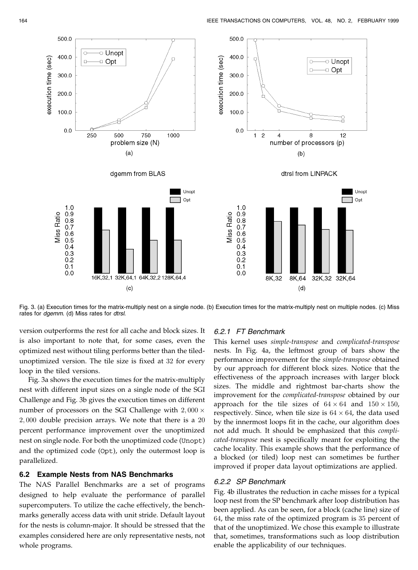

Fig. 3. (a) Execution times for the matrix-multiply nest on a single node. (b) Execution times for the matrix-multiply nest on multiple nodes. (c) Miss rates for dgemm. (d) Miss rates for dtrsl.

version outperforms the rest for all cache and block sizes. It is also important to note that, for some cases, even the optimized nest without tiling performs better than the tiledunoptimized version. The tile size is fixed at 32 for every loop in the tiled versions.

Fig. 3a shows the execution times for the matrix-multiply nest with different input sizes on a single node of the SGI Challenge and Fig. 3b gives the execution times on different number of processors on the SGI Challenge with  $2,000 \times$ 2; 000 double precision arrays. We note that there is a 20 percent performance improvement over the unoptimized nest on single node. For both the unoptimized code (Unopt) and the optimized code (Opt), only the outermost loop is parallelized.

#### 6.2 Example Nests from NAS Benchmarks

The NAS Parallel Benchmarks are a set of programs designed to help evaluate the performance of parallel supercomputers. To utilize the cache effectively, the benchmarks generally access data with unit stride. Default layout for the nests is column-major. It should be stressed that the examples considered here are only representative nests, not whole programs.

#### 6.2.1 FT Benchmark

This kernel uses simple-transpose and complicated-transpose nests. In Fig. 4a, the leftmost group of bars show the performance improvement for the simple-transpose obtained by our approach for different block sizes. Notice that the effectiveness of the approach increases with larger block sizes. The middle and rightmost bar-charts show the improvement for the complicated-transpose obtained by our approach for the tile sizes of  $64 \times 64$  and  $150 \times 150$ , respectively. Since, when tile size is  $64 \times 64$ , the data used by the innermost loops fit in the cache, our algorithm does not add much. It should be emphasized that this complicated-transpose nest is specifically meant for exploiting the cache locality. This example shows that the performance of a blocked (or tiled) loop nest can sometimes be further improved if proper data layout optimizations are applied.

#### 6.2.2 SP Benchmark

Fig. 4b illustrates the reduction in cache misses for a typical loop nest from the SP benchmark after loop distribution has been applied. As can be seen, for a block (cache line) size of 64, the miss rate of the optimized program is 35 percent of that of the unoptimized. We chose this example to illustrate that, sometimes, transformations such as loop distribution enable the applicability of our techniques.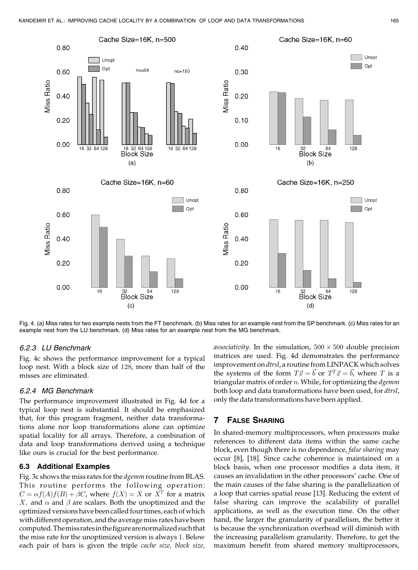

Fig. 4. (a) Miss rates for two example nests from the FT benchmark. (b) Miss rates for an example nest from the SP benchmark. (c) Miss rates for an example nest from the LU benchmark. (d) Miss rates for an example nest from the MG benchmark.

#### 6.2.3 LU Benchmark

Fig. 4c shows the performance improvement for a typical loop nest. With a block size of 128, more than half of the misses are eliminated.

#### 6.2.4 MG Benchmark

The performance improvement illustrated in Fig. 4d for a typical loop nest is substantial. It should be emphasized that, for this program fragment, neither data transformations alone nor loop transformations alone can optimize spatial locality for all arrays. Therefore, a combination of data and loop transformations derived using a technique like ours is crucial for the best performance.

#### 6.3 Additional Examples

Fig. 3c shows the miss rates for the dgemm routine from BLAS. This routine performs the following operation:  $C = \alpha f(A)f(B) + \beta C$ , where  $f(X) = X$  or  $X<sup>T</sup>$  for a matrix X, and  $\alpha$  and  $\beta$  are scalars. Both the unoptimized and the optimized versions have been called four times, each of which with different operation, and the averagemiss rates have been computed.Themissratesinthe figurearenormalizedsuchthat the miss rate for the unoptimized version is always 1. Below each pair of bars is given the triple cache size, block size,

*associativity*. In the simulation,  $500 \times 500$  double precision matrices are used. Fig. 4d demonstrates the performance improvement on *dtrsl*, a routine from LINPACK which solves the systems of the form  $T\vec{x} = \vec{b}$  or  $T^{T}\vec{x} = \vec{b}$ , where T is a triangular matrix of order  $n$ . While, for optimizing the  $d$ gemm both loop and data transformations have been used, for dtrsl, only the data transformations have been applied.

# 7 FALSE SHARING

In shared-memory multiprocessors, when processors make references to different data items within the same cache block, even though there is no dependence, false sharing may occur [8], [18]. Since cache coherence is maintained on a block basis, when one processor modifies a data item, it causes an invalidation in the other processors' cache. One of the main causes of the false sharing is the parallelization of a loop that carries spatial reuse [13]. Reducing the extent of false sharing can improve the scalability of parallel applications, as well as the execution time. On the other hand, the larger the granularity of parallelism, the better it is because the synchronization overhead will diminish with the increasing parallelism granularity. Therefore, to get the maximum benefit from shared memory multiprocessors,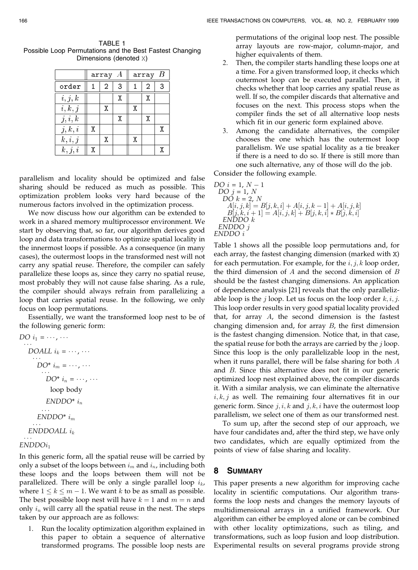TABLE 1 Possible Loop Permutations and the Best Fastest Changing Dimensions (denoted X)

|         | array $A$   |   |   | array $B$    |   |   |
|---------|-------------|---|---|--------------|---|---|
| order   |             | 2 | 3 |              | 2 | 3 |
| i, j, k |             |   | Χ |              | Χ |   |
| i, k, j |             | X |   | $\mathbf{X}$ |   |   |
| j, i, k |             |   | Χ |              | Χ |   |
| j, k, i | $\mathbf X$ |   |   |              |   | Χ |
| k, i, j |             | Χ |   | $\mathbf X$  |   |   |
| k, j, i | χ           |   |   |              |   | X |

parallelism and locality should be optimized and false sharing should be reduced as much as possible. This optimization problem looks very hard because of the numerous factors involved in the optimization process.

We now discuss how our algorithm can be extended to work in a shared memory multiprocessor environment. We start by observing that, so far, our algorithm derives good loop and data transformations to optimize spatial locality in the innermost loops if possible. As a consequence (in many cases), the outermost loops in the transformed nest will not carry any spatial reuse. Therefore, the compiler can safely parallelize these loops as, since they carry no spatial reuse, most probably they will not cause false sharing. As a rule, the compiler should always refrain from parallelizing a loop that carries spatial reuse. In the following, we only focus on loop permutations.

Essentially, we want the transformed loop nest to be of the following generic form:

DO 
$$
i_1 = \cdots, \cdots
$$

\nLOALL  $i_k = \cdots, \cdots$ 

\nLO  $i_m = \cdots, \cdots$ 

\nLO  $i_m = \cdots, \cdots$ 

\nLO  $i_1 = \cdots, \cdots$ 

\nloop body

\nENDDO  $i_m$ 

\n...

\nENDDO  $i_m$ 

\n...

\nENDDOALL  $i_k$ 

# $\stackrel{\cdots}{ENDDOi_1}$

In this generic form, all the spatial reuse will be carried by only a subset of the loops between  $i_m$  and  $i_n$ , including both these loops and the loops between them will not be parallelized. There will be only a single parallel loop  $i_k$ , where  $1 \leq k \leq m - 1$ . We want k to be as small as possible. The best possible loop nest will have  $k = 1$  and  $m = n$  and only  $i_n$  will carry all the spatial reuse in the nest. The steps taken by our approach are as follows:

1. Run the locality optimization algorithm explained in this paper to obtain a sequence of alternative transformed programs. The possible loop nests are permutations of the original loop nest. The possible array layouts are row-major, column-major, and higher equivalents of them.

- 2. Then, the compiler starts handling these loops one at a time. For a given transformed loop, it checks which outermost loop can be executed parallel. Then, it checks whether that loop carries any spatial reuse as well. If so, the compiler discards that alternative and focuses on the next. This process stops when the compiler finds the set of all alternative loop nests which fit in our generic form explained above.
- Among the candidate alternatives, the compiler chooses the one which has the outermost loop parallelism. We use spatial locality as a tie breaker if there is a need to do so. If there is still more than one such alternative, any of those will do the job.

Consider the following example.

 $DO i = 1, N - 1$ DO  $j = 1, N$ DO  $k = 2$ , N  $A[i, j, k] = B[j, k, i] + A[i, j, k - 1] + A[i, j, k]$  $B[j, k, i + 1] = A[i, j, k] + B[j, k, i] * B[j, k, i]$ ENDDO k ENDDO j ENDDO i

Table 1 shows all the possible loop permutations and, for each array, the fastest changing dimension (marked with X) for each permutation. For example, for the  $i, j, k$  loop order, the third dimension of  $A$  and the second dimension of  $B$ should be the fastest changing dimensions. An application of dependence analysis [21] reveals that the only parallelizable loop is the *j* loop. Let us focus on the loop order  $k$ , *i*, *j*. This loop order results in very good spatial locality provided that, for array A, the second dimension is the fastest changing dimension and, for array  $B$ , the first dimension is the fastest changing dimension. Notice that, in that case, the spatial reuse for both the arrays are carried by the  $j$  loop. Since this loop is the only parallelizable loop in the nest, when it runs parallel, there will be false sharing for both A and B. Since this alternative does not fit in our generic optimized loop nest explained above, the compiler discards it. With a similar analysis, we can eliminate the alternative  $i, k, j$  as well. The remaining four alternatives fit in our generic form. Since  $j, i, k$  and  $j, k, i$  have the outermost loop parallelism, we select one of them as our transformed nest.

To sum up, after the second step of our approach, we have four candidates and, after the third step, we have only two candidates, which are equally optimized from the points of view of false sharing and locality.

#### 8 SUMMARY

This paper presents a new algorithm for improving cache locality in scientific computations. Our algorithm transforms the loop nests and changes the memory layouts of multidimensional arrays in a unified framework. Our algorithm can either be employed alone or can be combined with other locality optimizations, such as tiling, and transformations, such as loop fusion and loop distribution. Experimental results on several programs provide strong